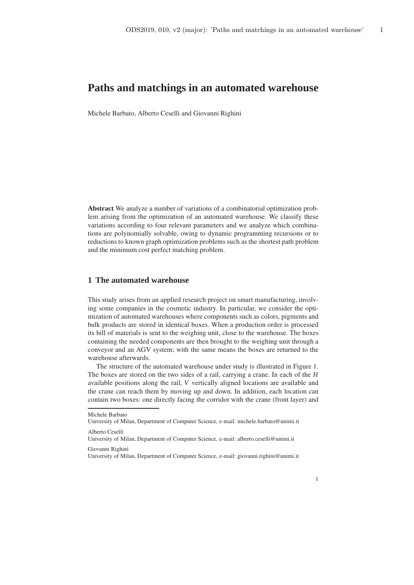Michele Barbato, Alberto Ceselli and Giovanni Righini

**Abstract** We analyze a number of variations of a combinatorial optimization problem arising from the optimization of an automated warehouse. We classify these variations according to four relevant parameters and we analyze which combinations are polynomially solvable, owing to dynamic programming recursions or to reductions to known graph optimization problems such as the shortest path problem and the minimum cost perfect matching problem.

# **1 The automated warehouse**

This study arises from an applied research project on smart manufacturing, involving some companies in the cosmetic industry. In particular, we consider the optimization of automated warehouses where components such as colors, pigments and bulk products are stored in identical boxes. When a production order is processed its bill of materials is sent to the weighing unit, close to the warehouse. The boxes containing the needed components are then brought to the weighing unit through a conveyor and an AGV system; with the same means the boxes are returned to the warehouse afterwards.

The structure of the automated warehouse under study is illustrated in Figure 1. The boxes are stored on the two sides of a rail, carrying a crane. In each of the *H* available positions along the rail, *V* vertically aligned locations are available and the crane can reach them by moving up and down. In addition, each location can contain two boxes: one directly facing the corridor with the crane (front layer) and

Michele Barbato

University of Milan, Department of Computer Science, e-mail: michele.barbato@unimi.it

Alberto Ceselli

University of Milan, Department of Computer Science, e-mail: alberto.ceselli@unimi.it

Giovanni Righini

University of Milan, Department of Computer Science, e-mail: giovanni.righini@unimi.it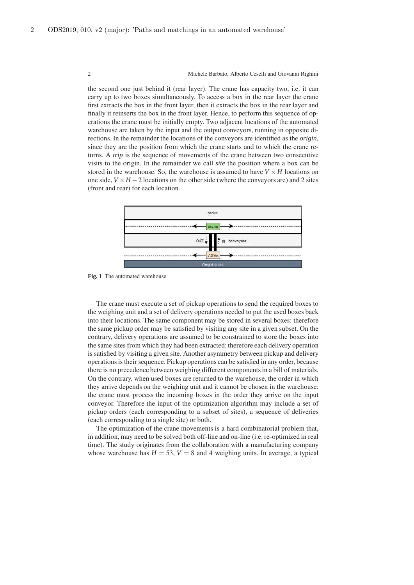the second one just behind it (rear layer). The crane has capacity two, i.e. it can carry up to two boxes simultaneously. To access a box in the rear layer the crane first extracts the box in the front layer, then it extracts the box in the rear layer and finally it reinserts the box in the front layer. Hence, to perform this sequence of operations the crane must be initially empty. Two adjacent locations of the automated warehouse are taken by the input and the output conveyors, running in opposite directions. In the remainder the locations of the conveyors are identified as the *origin*, since they are the position from which the crane starts and to which the crane returns. A *trip* is the sequence of movements of the crane between two consecutive visits to the origin. In the remainder we call *site* the position where a box can be stored in the warehouse. So, the warehouse is assumed to have  $V \times H$  locations on one side,  $V \times H - 2$  locations on the other side (where the conveyors are) and 2 sites (front and rear) for each location.



**Fig. 1** The automated warehouse

The crane must execute a set of pickup operations to send the required boxes to the weighing unit and a set of delivery operations needed to put the used boxes back into their locations. The same component may be stored in several boxes: therefore the same pickup order may be satisfied by visiting any site in a given subset. On the contrary, delivery operations are assumed to be constrained to store the boxes into the same sites from which they had been extracted: therefore each delivery operation is satisfied by visiting a given site. Another asymmetry between pickup and delivery operations is their sequence. Pickup operations can be satisfied in any order, because there is no precedence between weighing different components in a bill of materials. On the contrary, when used boxes are returned to the warehouse, the order in which they arrive depends on the weighing unit and it cannot be chosen in the warehouse: the crane must process the incoming boxes in the order they arrive on the input conveyor. Therefore the input of the optimization algorithm may include a set of pickup orders (each corresponding to a subset of sites), a sequence of deliveries (each corresponding to a single site) or both.

The optimization of the crane movements is a hard combinatorial problem that, in addition, may need to be solved both off-line and on-line (i.e. re-optimized in real time). The study originates from the collaboration with a manufacturing company whose warehouse has  $H = 53$ ,  $V = 8$  and 4 weighing units. In average, a typical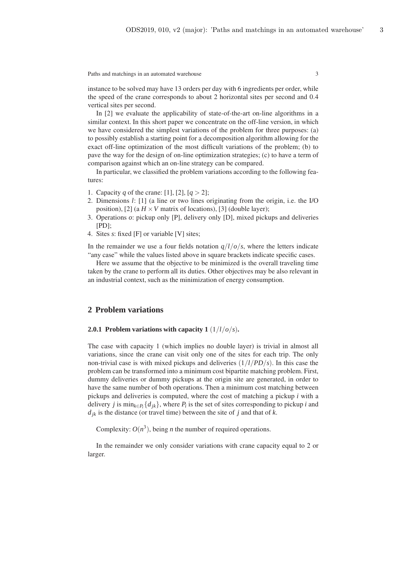instance to be solved may have 13 orders per day with 6 ingredients per order, while the speed of the crane corresponds to about 2 horizontal sites per second and 0.4 vertical sites per second.

In [2] we evaluate the applicability of state-of-the-art on-line algorithms in a similar context. In this short paper we concentrate on the off-line version, in which we have considered the simplest variations of the problem for three purposes: (a) to possibly establish a starting point for a decomposition algorithm allowing for the exact off-line optimization of the most difficult variations of the problem; (b) to pave the way for the design of on-line optimization strategies; (c) to have a term of comparison against which an on-line strategy can be compared.

In particular, we classified the problem variations according to the following features:

- 1. Capacity *q* of the crane: [1], [2],  $[q > 2]$ ;
- 2. Dimensions *l*: [1] (a line or two lines originating from the origin, i.e. the I/O position), [2] (a  $H \times V$  matrix of locations), [3] (double layer);
- 3. Operations *o*: pickup only [P], delivery only [D], mixed pickups and deliveries [PD];
- 4. Sites *s*: fixed [F] or variable [V] sites;

In the remainder we use a four fields notation  $q/l/o/s$ , where the letters indicate "any case" while the values listed above in square brackets indicate specific cases.

Here we assume that the objective to be minimized is the overall traveling time taken by the crane to perform all its duties. Other objectives may be also relevant in an industrial context, such as the minimization of energy consumption.

# **2 Problem variations**

## **2.0.1 Problem variations with capacity 1** (1/*l*/*o*/*s*)**.**

The case with capacity 1 (which implies no double layer) is trivial in almost all variations, since the crane can visit only one of the sites for each trip. The only non-trivial case is with mixed pickups and deliveries (1/*l*/*PD*/*s*). In this case the problem can be transformed into a minimum cost bipartite matching problem. First, dummy deliveries or dummy pickups at the origin site are generated, in order to have the same number of both operations. Then a minimum cost matching between pickups and deliveries is computed, where the cost of matching a pickup *i* with a delivery *j* is min<sub>*k*∈*P*<sub>*i*</sub></sub> { $d_{jk}$ }, where *P*<sub>*i*</sub> is the set of sites corresponding to pickup *i* and  $d_{ik}$  is the distance (or travel time) between the site of *j* and that of *k*.

Complexity:  $O(n^3)$ , being *n* the number of required operations.

In the remainder we only consider variations with crane capacity equal to 2 or larger.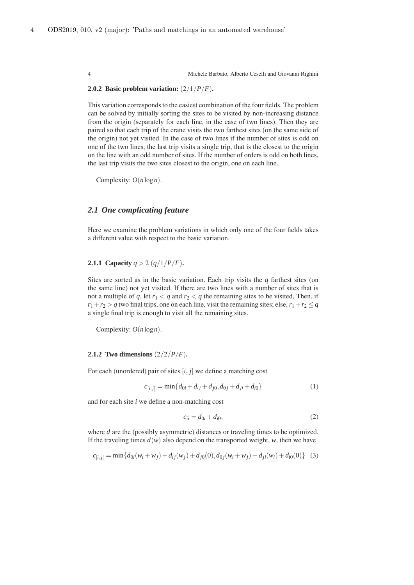# **2.0.2 Basic problem variation:** (2/1/*P*/*F*)**.**

This variation corresponds to the easiest combination of the four fields. The problem can be solved by initially sorting the sites to be visited by non-increasing distance from the origin (separately for each line, in the case of two lines). Then they are paired so that each trip of the crane visits the two farthest sites (on the same side of the origin) not yet visited. In the case of two lines if the number of sites is odd on one of the two lines, the last trip visits a single trip, that is the closest to the origin on the line with an odd number of sites. If the number of orders is odd on both lines, the last trip visits the two sites closest to the origin, one on each line.

Complexity: *O*(*n*log*n*).

# *2.1 One complicating feature*

Here we examine the problem variations in which only one of the four fields takes a different value with respect to the basic variation.

**2.1.1 Capacity**  $q > 2$  ( $q/1/P/F$ ).

Sites are sorted as in the basic variation. Each trip visits the  $q$  farthest sites (on the same line) not yet visited. If there are two lines with a number of sites that is not a multiple of *q*, let  $r_1 < q$  and  $r_2 < q$  the remaining sites to be visited, Then, if  $r_1 + r_2 > q$  two final trips, one on each line, visit the remaining sites; else,  $r_1 + r_2 \leq q$ a single final trip is enough to visit all the remaining sites.

Complexity: *O*(*n*log*n*).

#### **2.1.2 Two dimensions** (2/2/*P*/*F*)**.**

For each (unordered) pair of sites [*i*, *j*] we define a matching cost

$$
c_{[i,j]} = \min\{d_{0i} + d_{ij} + d_{j0}, d_{0j} + d_{ji} + d_{i0}\}\tag{1}
$$

and for each site *i* we define a non-matching cost

$$
c_{ii} = d_{0i} + d_{i0},\tag{2}
$$

where *d* are the (possibly asymmetric) distances or traveling times to be optimized. If the traveling times  $d(w)$  also depend on the transported weight, *w*, then we have

$$
c_{[i,j]} = \min\{d_{0i}(w_i + w_j) + d_{ij}(w_j) + d_{j0}(0), d_{0j}(w_i + w_j) + d_{ji}(w_i) + d_{i0}(0)\} \quad (3)
$$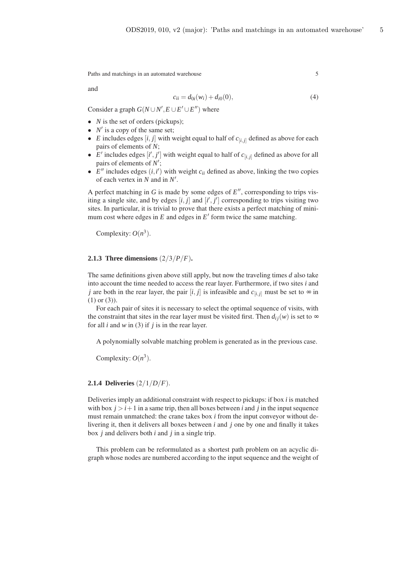and

$$
c_{ii} = d_{0i}(w_i) + d_{i0}(0),
$$
\n(4)

Consider a graph  $G(N \cup N', E \cup E' \cup E'')$  where

- *N* is the set of orders (pickups);
- $N'$  is a copy of the same set;
- *E* includes edges  $[i, j]$  with weight equal to half of  $c_{[i, j]}$  defined as above for each pairs of elements of *N*;
- $E'$  includes edges  $[i', j']$  with weight equal to half of  $c_{[i,j]}$  defined as above for all pairs of elements of *N* ′ ;
- $E''$  includes edges  $(i, i')$  with weight  $c_{ii}$  defined as above, linking the two copies of each vertex in *N* and in *N* ′ .

A perfect matching in  $G$  is made by some edges of  $E''$ , corresponding to trips visiting a single site, and by edges  $[i, j]$  and  $[i', j']$  corresponding to trips visiting two sites. In particular, it is trivial to prove that there exists a perfect matching of minimum cost where edges in  $E$  and edges in  $E'$  form twice the same matching.

Complexity:  $O(n^3)$ .

## **2.1.3 Three dimensions** (2/3/*P*/*F*)**.**

The same definitions given above still apply, but now the traveling times *d* also take into account the time needed to access the rear layer. Furthermore, if two sites *i* and *j* are both in the rear layer, the pair  $[i, j]$  is infeasible and  $c_{[i,j]}$  must be set to  $\infty$  in (1) or (3)).

For each pair of sites it is necessary to select the optimal sequence of visits, with the constraint that sites in the rear layer must be visited first. Then  $d_{ij}(w)$  is set to  $\infty$ for all *i* and *w* in (3) if *j* is in the rear layer.

A polynomially solvable matching problem is generated as in the previous case.

Complexity:  $O(n^3)$ .

# **2.1.4 Deliveries** (2/1/*D*/*F*).

Deliveries imply an additional constraint with respect to pickups: if box *i* is matched with box  $j > i+1$  in a same trip, then all boxes between *i* and *j* in the input sequence must remain unmatched: the crane takes box *i* from the input conveyor without delivering it, then it delivers all boxes between *i* and *j* one by one and finally it takes box *j* and delivers both *i* and *j* in a single trip.

This problem can be reformulated as a shortest path problem on an acyclic digraph whose nodes are numbered according to the input sequence and the weight of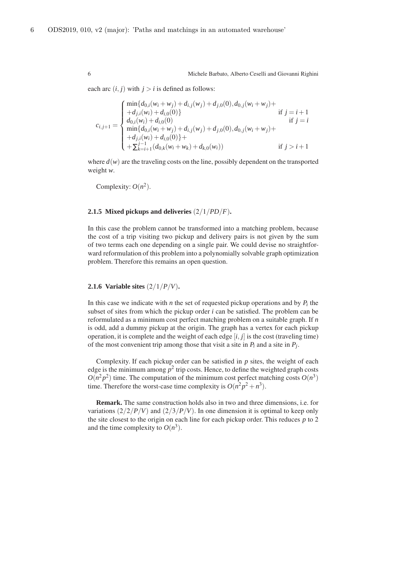each arc  $(i, j)$  with  $j > i$  is defined as follows:

$$
c_{i,j+1} = \begin{cases} \min\{d_{0,i}(w_i + w_j) + d_{i,j}(w_j) + d_{j,0}(0), d_{0,j}(w_i + w_j) + \\ + d_{j,i}(w_i) + d_{i,0}(0) & \text{if } j = i+1 \\ d_{0,i}(w_i) + d_{i,0}(0) & \text{if } j = i \\ \min\{d_{0,i}(w_i + w_j) + d_{i,j}(w_j) + d_{j,0}(0), d_{0,j}(w_i + w_j) + \\ + d_{j,i}(w_i) + d_{i,0}(0)\} + \\ + \sum_{k=i+1}^{j-1} (d_{0,k}(w_i + w_k) + d_{k,0}(w_i)) & \text{if } j > i+1 \end{cases}
$$

where  $d(w)$  are the traveling costs on the line, possibly dependent on the transported weight *w*.

Complexity:  $O(n^2)$ .

#### **2.1.5 Mixed pickups and deliveries** (2/1/*PD*/*F*)**.**

In this case the problem cannot be transformed into a matching problem, because the cost of a trip visiting two pickup and delivery pairs is not given by the sum of two terms each one depending on a single pair. We could devise no straightforward reformulation of this problem into a polynomially solvable graph optimization problem. Therefore this remains an open question.

## **2.1.6 Variable sites** (2/1/*P*/*V*)**.**

In this case we indicate with *n* the set of requested pickup operations and by  $P_i$  the subset of sites from which the pickup order *i* can be satisfied. The problem can be reformulated as a minimum cost perfect matching problem on a suitable graph. If *n* is odd, add a dummy pickup at the origin. The graph has a vertex for each pickup operation, it is complete and the weight of each edge  $[i, j]$  is the cost (traveling time) of the most convenient trip among those that visit a site in  $P_i$  and a site in  $P_j$ .

Complexity. If each pickup order can be satisfied in *p* sites, the weight of each edge is the minimum among  $p^2$  trip costs. Hence, to define the weighted graph costs  $O(n^2p^2)$  time. The computation of the minimum cost perfect matching costs  $O(n^3)$ time. Therefore the worst-case time complexity is  $O(n^2p^2 + n^3)$ .

**Remark.** The same construction holds also in two and three dimensions, i.e. for variations  $\left(\frac{2}{2}P/V\right)$  and  $\left(\frac{2}{3}P/V\right)$ . In one dimension it is optimal to keep only the site closest to the origin on each line for each pickup order. This reduces *p* to 2 and the time complexity to  $O(n^3)$ .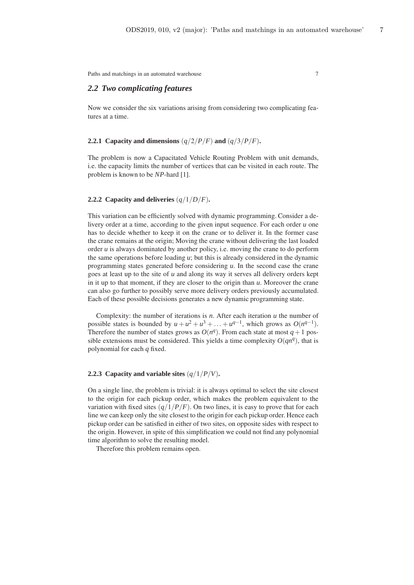# *2.2 Two complicating features*

Now we consider the six variations arising from considering two complicating features at a time.

# **2.2.1 Capacity and dimensions**  $\left(\frac{q}{2}/P/F\right)$  **and**  $\left(\frac{q}{3}/P/F\right)$ **.**

The problem is now a Capacitated Vehicle Routing Problem with unit demands, i.e. the capacity limits the number of vertices that can be visited in each route. The problem is known to be *NP*-hard [1].

# **2.2.2 Capacity and deliveries** (*q*/1/*D*/*F*)**.**

This variation can be efficiently solved with dynamic programming. Consider a delivery order at a time, according to the given input sequence. For each order *u* one has to decide whether to keep it on the crane or to deliver it. In the former case the crane remains at the origin; Moving the crane without delivering the last loaded order  $u$  is always dominated by another policy, i.e. moving the crane to do perform the same operations before loading *u*; but this is already considered in the dynamic programming states generated before considering *u*. In the second case the crane goes at least up to the site of *u* and along its way it serves all delivery orders kept in it up to that moment, if they are closer to the origin than *u*. Moreover the crane can also go further to possibly serve more delivery orders previously accumulated. Each of these possible decisions generates a new dynamic programming state.

Complexity: the number of iterations is *n*. After each iteration *u* the number of possible states is bounded by  $u + u^2 + u^3 + \ldots + u^{q-1}$ , which grows as  $O(n^{q-1})$ . Therefore the number of states grows as  $O(n^q)$ . From each state at most  $q+1$  possible extensions must be considered. This yields a time complexity  $O(qn^q)$ , that is polynomial for each *q* fixed.

## **2.2.3 Capacity and variable sites** (*q*/1/*P*/*V*)**.**

On a single line, the problem is trivial: it is always optimal to select the site closest to the origin for each pickup order, which makes the problem equivalent to the variation with fixed sites  $(q/1/P/F)$ . On two lines, it is easy to prove that for each line we can keep only the site closest to the origin for each pickup order. Hence each pickup order can be satisfied in either of two sites, on opposite sides with respect to the origin. However, in spite of this simplification we could not find any polynomial time algorithm to solve the resulting model.

Therefore this problem remains open.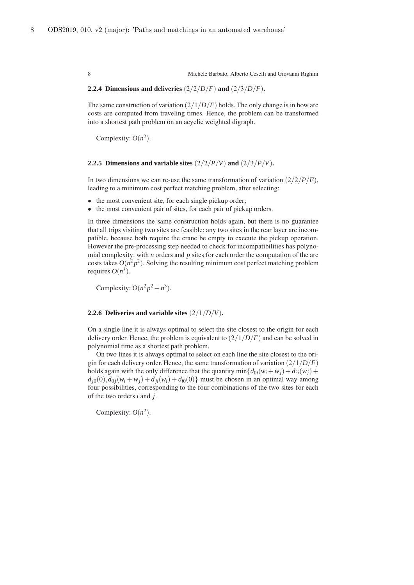## **2.2.4 Dimensions and deliveries**  $\left(\frac{2}{2}D/F\right)$  **and**  $\left(\frac{2}{3}D/F\right)$ **.**

The same construction of variation  $(2/1/D/F)$  holds. The only change is in how arc costs are computed from traveling times. Hence, the problem can be transformed into a shortest path problem on an acyclic weighted digraph.

Complexity:  $O(n^2)$ .

#### **2.2.5 Dimensions and variable sites**  $\left(\frac{2}{2}/P/V\right)$  **and**  $\left(\frac{2}{3}/P/V\right)$ **.**

In two dimensions we can re-use the same transformation of variation  $\left(\frac{2}{2}/P/F\right)$ , leading to a minimum cost perfect matching problem, after selecting:

- the most convenient site, for each single pickup order;
- the most convenient pair of sites, for each pair of pickup orders.

In three dimensions the same construction holds again, but there is no guarantee that all trips visiting two sites are feasible: any two sites in the rear layer are incompatible, because both require the crane be empty to execute the pickup operation. However the pre-processing step needed to check for incompatibilities has polynomial complexity: with *n* orders and *p* sites for each order the computation of the arc costs takes  $O(n^2 p^2)$ . Solving the resulting minimum cost perfect matching problem requires  $O(n^3)$ .

Complexity:  $O(n^2p^2 + n^3)$ .

## **2.2.6 Deliveries and variable sites** (2/1/*D*/*V*)**.**

On a single line it is always optimal to select the site closest to the origin for each delivery order. Hence, the problem is equivalent to (2/1/*D*/*F*) and can be solved in polynomial time as a shortest path problem.

On two lines it is always optimal to select on each line the site closest to the origin for each delivery order. Hence, the same transformation of variation (2/1/*D*/*F*) holds again with the only difference that the quantity min $\{d_{0i}(w_i + w_j) + d_{ij}(w_i) + d_{ij}(w_j)\}$  $d_{i0}(0), d_{0i}(w_i + w_i) + d_{ii}(w_i) + d_{i0}(0)$  must be chosen in an optimal way among four possibilities, corresponding to the four combinations of the two sites for each of the two orders *i* and *j*.

Complexity:  $O(n^2)$ .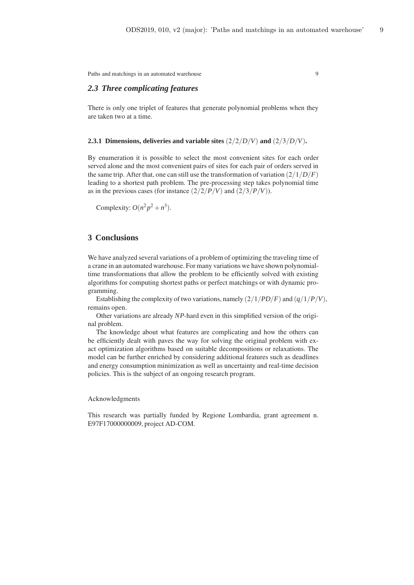# *2.3 Three complicating features*

There is only one triplet of features that generate polynomial problems when they are taken two at a time.

## **2.3.1 Dimensions, deliveries and variable sites** (2/2/*D*/*V*) **and** (2/3/*D*/*V*)**.**

By enumeration it is possible to select the most convenient sites for each order served alone and the most convenient pairs of sites for each pair of orders served in the same trip. After that, one can still use the transformation of variation  $\left(\frac{2}{1/D/F}\right)$ leading to a shortest path problem. The pre-processing step takes polynomial time as in the previous cases (for instance  $\left(\frac{2}{2}/P/V\right)$  and  $\left(\frac{2}{3}/P/V\right)$ ).

Complexity:  $O(n^2p^2 + n^3)$ .

# **3 Conclusions**

We have analyzed several variations of a problem of optimizing the traveling time of a crane in an automated warehouse. For many variations we have shown polynomialtime transformations that allow the problem to be efficiently solved with existing algorithms for computing shortest paths or perfect matchings or with dynamic programming.

Establishing the complexity of two variations, namely  $\left(\frac{2}{1}PD/F\right)$  and  $\left(\frac{q}{1}/P/V\right)$ , remains open.

Other variations are already *NP*-hard even in this simplified version of the original problem.

The knowledge about what features are complicating and how the others can be efficiently dealt with paves the way for solving the original problem with exact optimization algorithms based on suitable decompositions or relaxations. The model can be further enriched by considering additional features such as deadlines and energy consumption minimization as well as uncertainty and real-time decision policies. This is the subject of an ongoing research program.

#### Acknowledgments

This research was partially funded by Regione Lombardia, grant agreement n. E97F17000000009, project AD-COM.